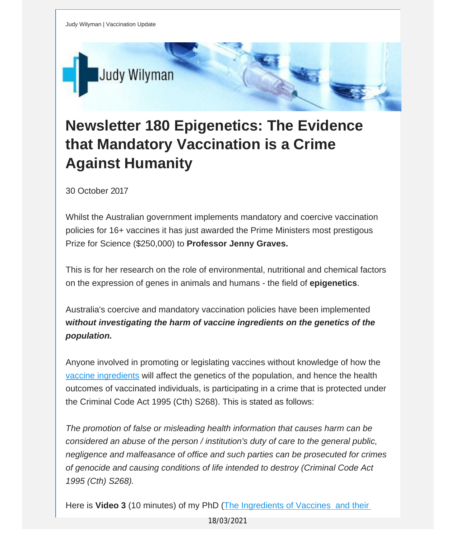

## **Newsletter 180 Epigenetics: The Evidence that Mandatory Vaccination is a Crime Against Humanity**

30 October 2017

Whilst the Australian government implements mandatory and coercive vaccination policies for 16+ vaccines it has just awarded the Prime Ministers most prestigous Prize for Science (\$250,000) to **Professor Jenny Graves.**

This is for her research on the role of environmental, nutritional and chemical factors on the expression of genes in animals and humans - the field of **epigenetics**.

Australia's coercive and mandatory vaccination policies have been implemented **w***ithout investigating the harm of vaccine ingredients on the genetics of the population.*

Anyone involved in promoting or legislating vaccines without knowledge of how the vaccine [ingredients](https://vaccinationdecisions.us8.list-manage.com/track/click?u=f20605fde3732e41929f4a3f2&id=335daf14b4&e=fec8337d3c) will affect the genetics of the population, and hence the health outcomes of vaccinated individuals, is participating in a crime that is protected under the Criminal Code Act 1995 (Cth) S268). This is stated as follows:

*The promotion of false or misleading health information that causes harm can be considered an abuse of the person / institution's duty of care to the general public, negligence and malfeasance of office and such parties can be prosecuted for crimes of genocide and causing conditions of life intended to destroy (Criminal Code Act 1995 (Cth) S268).*

Here is **Video 3** (10 minutes) of my PhD (The [Ingredients](https://vaccinationdecisions.us8.list-manage.com/track/click?u=f20605fde3732e41929f4a3f2&id=72b25ed88a&e=fec8337d3c) of Vaccines and their

18/03/2021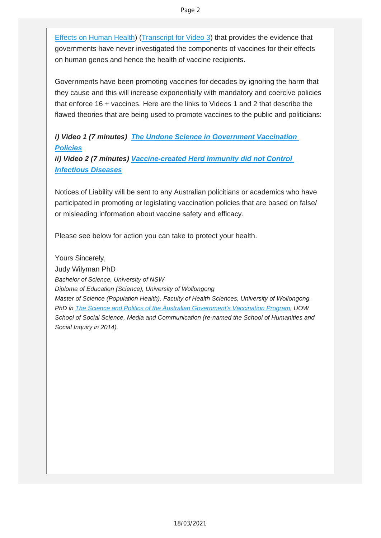Effects on Human Health) ([Transcript](https://vaccinationdecisions.us8.list-manage.com/track/click?u=f20605fde3732e41929f4a3f2&id=31881cb2c0&e=fec8337d3c) for Video 3) that provides the evidence that governments have never investigated the components of vaccines for their effects on human genes and hence the health of vaccine recipients.

Governments have been promoting vaccines for decades by ignoring the harm that they cause and this will increase exponentially with mandatory and coercive policies that enforce 16 + vaccines. Here are the links to Videos 1 and 2 that describe the flawed theories that are being used to promote vaccines to the public and politicians:

## *i) Video 1 (7 minutes) The Undone Science in [Government](https://vaccinationdecisions.us8.list-manage.com/track/click?u=f20605fde3732e41929f4a3f2&id=d2d8e6c180&e=fec8337d3c) Vaccination [Policies](https://vaccinationdecisions.us8.list-manage.com/track/click?u=f20605fde3732e41929f4a3f2&id=d2d8e6c180&e=fec8337d3c)*

*ii) Video 2 (7 minutes) [Vaccine-created](https://vaccinationdecisions.us8.list-manage.com/track/click?u=f20605fde3732e41929f4a3f2&id=e1342c369e&e=fec8337d3c) Herd Immunity did not Control [Infectious](https://vaccinationdecisions.us8.list-manage.com/track/click?u=f20605fde3732e41929f4a3f2&id=e1342c369e&e=fec8337d3c) Diseases*

Notices of Liability will be sent to any Australian policitians or academics who have participated in promoting or legislating vaccination policies that are based on false/ or misleading information about vaccine safety and efficacy.

Please see below for action you can take to protect your health.

Yours Sincerely, Judy Wilyman PhD *Bachelor of Science, University of NSW Diploma of Education (Science), University of Wollongong Master of Science (Population Health), Faculty of Health Sciences, University of Wollongong. PhD in The Science and Politics of the Australian [Government's](https://vaccinationdecisions.us8.list-manage.com/track/click?u=f20605fde3732e41929f4a3f2&id=aa2efaefb7&e=fec8337d3c) Vaccination Program, UOW School of Social Science, Media and Communication (re-named the School of Humanities and Social Inquiry in 2014).*